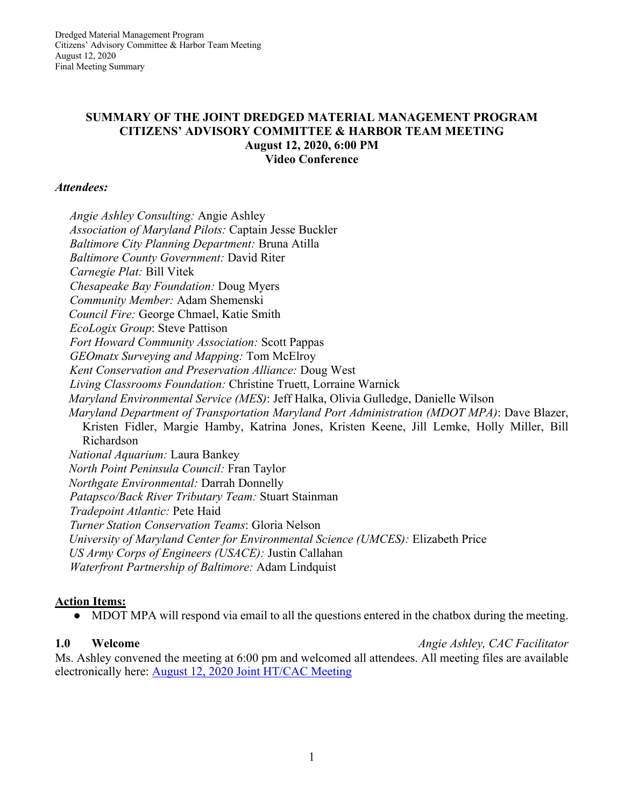### **SUMMARY OF THE JOINT DREDGED MATERIAL MANAGEMENT PROGRAM CITIZENS' ADVISORY COMMITTEE & HARBOR TEAM MEETING August 12, 2020, 6:00 PM Video Conference**

### *Attendees:*

*Angie Ashley Consulting:* Angie Ashley *Association of Maryland Pilots:* Captain Jesse Buckler *Baltimore City Planning Department:* Bruna Atilla *Baltimore County Government:* David Riter *Carnegie Plat:* Bill Vitek *Chesapeake Bay Foundation:* Doug Myers *Community Member:* Adam Shemenski *Council Fire:* George Chmael, Katie Smith *EcoLogix Group*: Steve Pattison *Fort Howard Community Association:* Scott Pappas *GEOmatx Surveying and Mapping:* Tom McElroy *Kent Conservation and Preservation Alliance:* Doug West *Living Classrooms Foundation:* Christine Truett, Lorraine Warnick *Maryland Environmental Service (MES)*: Jeff Halka, Olivia Gulledge, Danielle Wilson *Maryland Department of Transportation Maryland Port Administration (MDOT MPA)*: Dave Blazer, Kristen Fidler, Margie Hamby, Katrina Jones, Kristen Keene, Jill Lemke, Holly Miller, Bill Richardson *National Aquarium:* Laura Bankey *North Point Peninsula Council:* Fran Taylor *Northgate Environmental:* Darrah Donnelly *Patapsco/Back River Tributary Team:* Stuart Stainman *Tradepoint Atlantic:* Pete Haid *Turner Station Conservation Teams*: Gloria Nelson *University of Maryland Center for Environmental Science (UMCES):* Elizabeth Price *US Army Corps of Engineers (USACE):* Justin Callahan *Waterfront Partnership of Baltimore:* Adam Lindquist

## **Action Items:**

• MDOT MPA will respond via email to all the questions entered in the chatbox during the meeting.

**1.0 Welcome** *Angie Ashley, CAC Facilitator*

Ms. Ashley convened the meeting at 6:00 pm and welcomed all attendees. All meeting files are available electronically here: August 12, 2020 Joint HT/CAC Meeting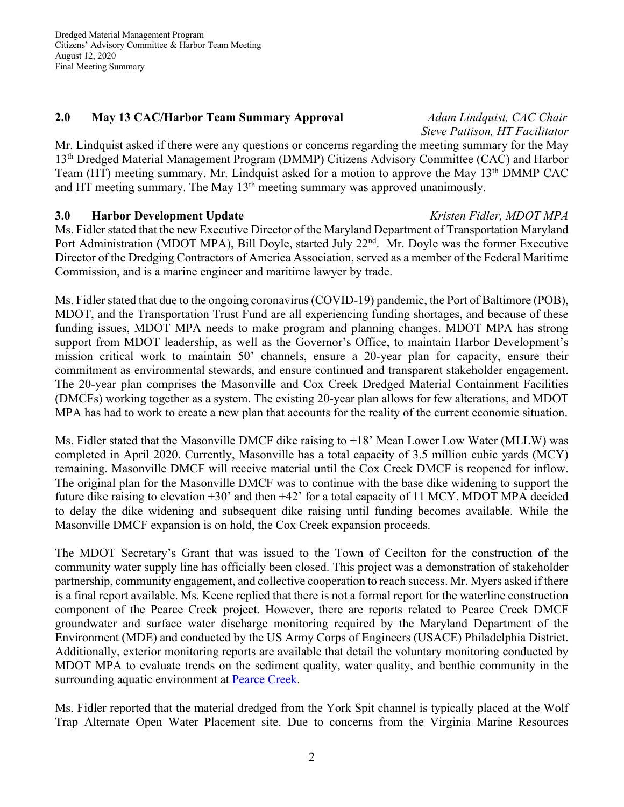Dredged Material Management Program Citizens' Advisory Committee & Harbor Team Meeting August 12, 2020 Final Meeting Summary

### **2.0 May 13 CAC/Harbor Team Summary Approval** *Adam Lindquist, CAC Chair*

# *Steve Pattison, HT Facilitator*

Mr. Lindquist asked if there were any questions or concerns regarding the meeting summary for the May 13th Dredged Material Management Program (DMMP) Citizens Advisory Committee (CAC) and Harbor Team (HT) meeting summary. Mr. Lindquist asked for a motion to approve the May 13<sup>th</sup> DMMP CAC and HT meeting summary. The May 13<sup>th</sup> meeting summary was approved unanimously.

## **3.0 Harbor Development Update** *Kristen Fidler, MDOT MPA*

Ms. Fidler stated that the new Executive Director of the Maryland Department of Transportation Maryland Port Administration (MDOT MPA), Bill Doyle, started July 22<sup>nd</sup>. Mr. Doyle was the former Executive Director of the Dredging Contractors of America Association, served as a member of the Federal Maritime Commission, and is a marine engineer and maritime lawyer by trade.

Ms. Fidler stated that due to the ongoing coronavirus (COVID-19) pandemic, the Port of Baltimore (POB), MDOT, and the Transportation Trust Fund are all experiencing funding shortages, and because of these funding issues, MDOT MPA needs to make program and planning changes. MDOT MPA has strong support from MDOT leadership, as well as the Governor's Office, to maintain Harbor Development's mission critical work to maintain 50' channels, ensure a 20-year plan for capacity, ensure their commitment as environmental stewards, and ensure continued and transparent stakeholder engagement. The 20-year plan comprises the Masonville and Cox Creek Dredged Material Containment Facilities (DMCFs) working together as a system. The existing 20-year plan allows for few alterations, and MDOT MPA has had to work to create a new plan that accounts for the reality of the current economic situation.

Ms. Fidler stated that the Masonville DMCF dike raising to +18' Mean Lower Low Water (MLLW) was completed in April 2020. Currently, Masonville has a total capacity of 3.5 million cubic yards (MCY) remaining. Masonville DMCF will receive material until the Cox Creek DMCF is reopened for inflow. The original plan for the Masonville DMCF was to continue with the base dike widening to support the future dike raising to elevation +30' and then +42' for a total capacity of 11 MCY. MDOT MPA decided to delay the dike widening and subsequent dike raising until funding becomes available. While the Masonville DMCF expansion is on hold, the Cox Creek expansion proceeds.

The MDOT Secretary's Grant that was issued to the Town of Cecilton for the construction of the community water supply line has officially been closed. This project was a demonstration of stakeholder partnership, community engagement, and collective cooperation to reach success. Mr. Myers asked if there is a final report available. Ms. Keene replied that there is not a formal report for the waterline construction component of the Pearce Creek project. However, there are reports related to Pearce Creek DMCF groundwater and surface water discharge monitoring required by the Maryland Department of the Environment (MDE) and conducted by the US Army Corps of Engineers (USACE) Philadelphia District. Additionally, exterior monitoring reports are available that detail the voluntary monitoring conducted by MDOT MPA to evaluate trends on the sediment quality, water quality, and benthic community in the surrounding aquatic environment at Pearce Creek.

Ms. Fidler reported that the material dredged from the York Spit channel is typically placed at the Wolf Trap Alternate Open Water Placement site. Due to concerns from the Virginia Marine Resources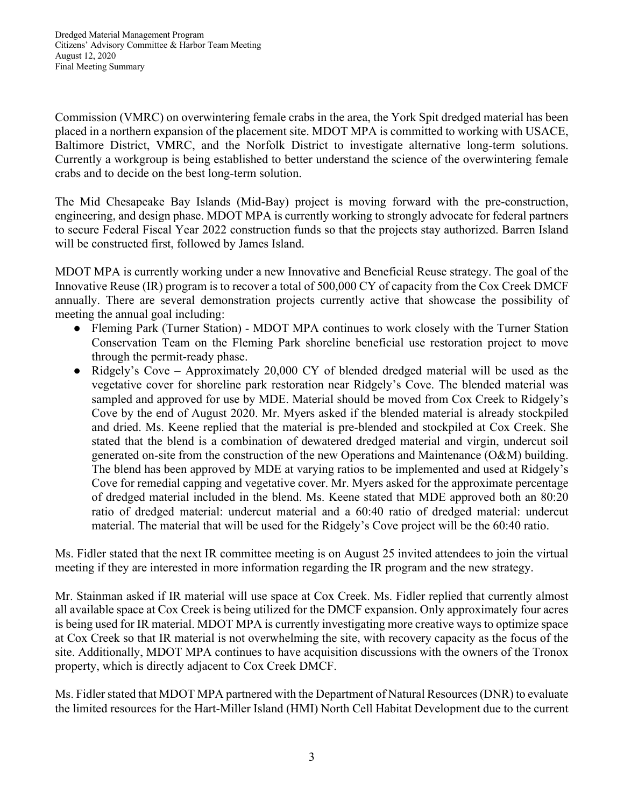Commission (VMRC) on overwintering female crabs in the area, the York Spit dredged material has been placed in a northern expansion of the placement site. MDOT MPA is committed to working with USACE, Baltimore District, VMRC, and the Norfolk District to investigate alternative long-term solutions. Currently a workgroup is being established to better understand the science of the overwintering female crabs and to decide on the best long-term solution.

The Mid Chesapeake Bay Islands (Mid-Bay) project is moving forward with the pre-construction, engineering, and design phase. MDOT MPA is currently working to strongly advocate for federal partners to secure Federal Fiscal Year 2022 construction funds so that the projects stay authorized. Barren Island will be constructed first, followed by James Island.

MDOT MPA is currently working under a new Innovative and Beneficial Reuse strategy. The goal of the Innovative Reuse (IR) program is to recover a total of 500,000 CY of capacity from the Cox Creek DMCF annually. There are several demonstration projects currently active that showcase the possibility of meeting the annual goal including:

- Fleming Park (Turner Station) MDOT MPA continues to work closely with the Turner Station Conservation Team on the Fleming Park shoreline beneficial use restoration project to move through the permit-ready phase.
- Ridgely's Cove Approximately 20,000 CY of blended dredged material will be used as the vegetative cover for shoreline park restoration near Ridgely's Cove. The blended material was sampled and approved for use by MDE. Material should be moved from Cox Creek to Ridgely's Cove by the end of August 2020. Mr. Myers asked if the blended material is already stockpiled and dried. Ms. Keene replied that the material is pre-blended and stockpiled at Cox Creek. She stated that the blend is a combination of dewatered dredged material and virgin, undercut soil generated on-site from the construction of the new Operations and Maintenance (O&M) building. The blend has been approved by MDE at varying ratios to be implemented and used at Ridgely's Cove for remedial capping and vegetative cover. Mr. Myers asked for the approximate percentage of dredged material included in the blend. Ms. Keene stated that MDE approved both an 80:20 ratio of dredged material: undercut material and a 60:40 ratio of dredged material: undercut material. The material that will be used for the Ridgely's Cove project will be the 60:40 ratio.

Ms. Fidler stated that the next IR committee meeting is on August 25 invited attendees to join the virtual meeting if they are interested in more information regarding the IR program and the new strategy.

Mr. Stainman asked if IR material will use space at Cox Creek. Ms. Fidler replied that currently almost all available space at Cox Creek is being utilized for the DMCF expansion. Only approximately four acres is being used for IR material. MDOT MPA is currently investigating more creative ways to optimize space at Cox Creek so that IR material is not overwhelming the site, with recovery capacity as the focus of the site. Additionally, MDOT MPA continues to have acquisition discussions with the owners of the Tronox property, which is directly adjacent to Cox Creek DMCF.

Ms. Fidler stated that MDOT MPA partnered with the Department of Natural Resources (DNR) to evaluate the limited resources for the Hart-Miller Island (HMI) North Cell Habitat Development due to the current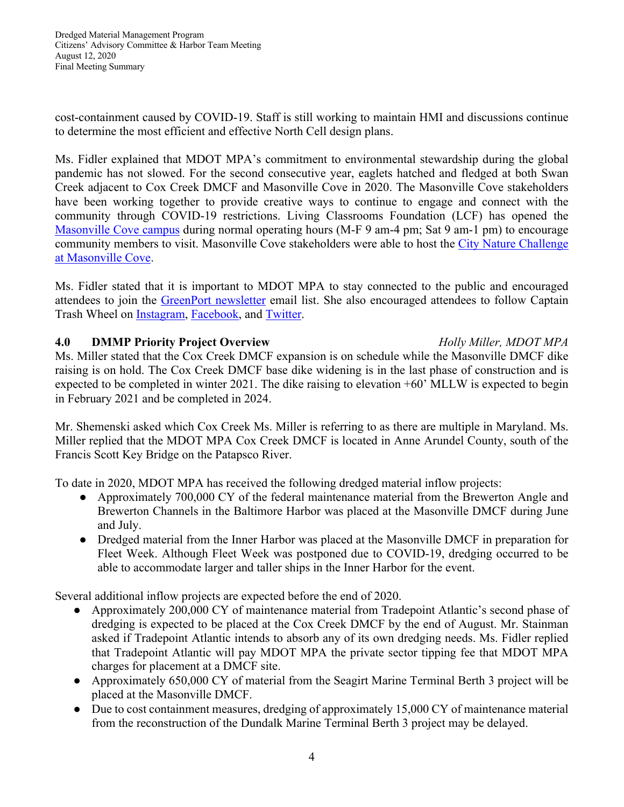Dredged Material Management Program Citizens' Advisory Committee & Harbor Team Meeting August 12, 2020 Final Meeting Summary

cost-containment caused by COVID-19. Staff is still working to maintain HMI and discussions continue to determine the most efficient and effective North Cell design plans.

Ms. Fidler explained that MDOT MPA's commitment to environmental stewardship during the global pandemic has not slowed. For the second consecutive year, eaglets hatched and fledged at both Swan Creek adjacent to Cox Creek DMCF and Masonville Cove in 2020. The Masonville Cove stakeholders have been working together to provide creative ways to continue to engage and connect with the community through COVID-19 restrictions. Living Classrooms Foundation (LCF) has opened the Masonville Cove campus during normal operating hours (M-F 9 am-4 pm; Sat 9 am-1 pm) to encourage community members to visit. Masonville Cove stakeholders were able to host the City Nature Challenge at Masonville Cove.

Ms. Fidler stated that it is important to MDOT MPA to stay connected to the public and encouraged attendees to join the GreenPort newsletter email list. She also encouraged attendees to follow Captain Trash Wheel on Instagram, Facebook, and Twitter.

## **4.0 DMMP Priority Project Overview** *Holly Miller, MDOT MPA*

Ms. Miller stated that the Cox Creek DMCF expansion is on schedule while the Masonville DMCF dike raising is on hold. The Cox Creek DMCF base dike widening is in the last phase of construction and is expected to be completed in winter 2021. The dike raising to elevation +60' MLLW is expected to begin in February 2021 and be completed in 2024.

Mr. Shemenski asked which Cox Creek Ms. Miller is referring to as there are multiple in Maryland. Ms. Miller replied that the MDOT MPA Cox Creek DMCF is located in Anne Arundel County, south of the Francis Scott Key Bridge on the Patapsco River.

To date in 2020, MDOT MPA has received the following dredged material inflow projects:

- Approximately 700,000 CY of the federal maintenance material from the Brewerton Angle and Brewerton Channels in the Baltimore Harbor was placed at the Masonville DMCF during June and July.
- Dredged material from the Inner Harbor was placed at the Masonville DMCF in preparation for Fleet Week. Although Fleet Week was postponed due to COVID-19, dredging occurred to be able to accommodate larger and taller ships in the Inner Harbor for the event.

Several additional inflow projects are expected before the end of 2020.

- Approximately 200,000 CY of maintenance material from Tradepoint Atlantic's second phase of dredging is expected to be placed at the Cox Creek DMCF by the end of August. Mr. Stainman asked if Tradepoint Atlantic intends to absorb any of its own dredging needs. Ms. Fidler replied that Tradepoint Atlantic will pay MDOT MPA the private sector tipping fee that MDOT MPA charges for placement at a DMCF site.
- Approximately 650,000 CY of material from the Seagirt Marine Terminal Berth 3 project will be placed at the Masonville DMCF.
- Due to cost containment measures, dredging of approximately 15,000 CY of maintenance material from the reconstruction of the Dundalk Marine Terminal Berth 3 project may be delayed.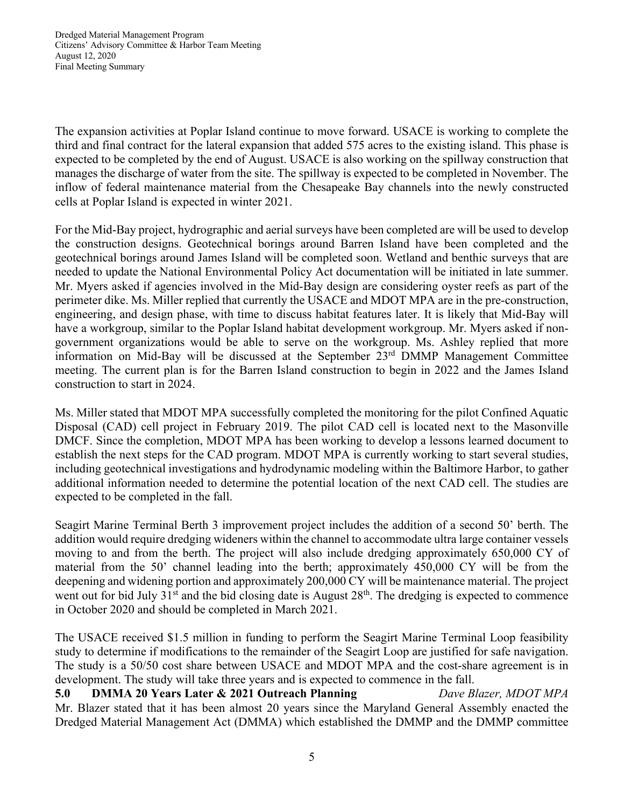Dredged Material Management Program Citizens' Advisory Committee & Harbor Team Meeting August 12, 2020 Final Meeting Summary

The expansion activities at Poplar Island continue to move forward. USACE is working to complete the third and final contract for the lateral expansion that added 575 acres to the existing island. This phase is expected to be completed by the end of August. USACE is also working on the spillway construction that manages the discharge of water from the site. The spillway is expected to be completed in November. The inflow of federal maintenance material from the Chesapeake Bay channels into the newly constructed cells at Poplar Island is expected in winter 2021.

For the Mid-Bay project, hydrographic and aerial surveys have been completed are will be used to develop the construction designs. Geotechnical borings around Barren Island have been completed and the geotechnical borings around James Island will be completed soon. Wetland and benthic surveys that are needed to update the National Environmental Policy Act documentation will be initiated in late summer. Mr. Myers asked if agencies involved in the Mid-Bay design are considering oyster reefs as part of the perimeter dike. Ms. Miller replied that currently the USACE and MDOT MPA are in the pre-construction, engineering, and design phase, with time to discuss habitat features later. It is likely that Mid-Bay will have a workgroup, similar to the Poplar Island habitat development workgroup. Mr. Myers asked if nongovernment organizations would be able to serve on the workgroup. Ms. Ashley replied that more information on Mid-Bay will be discussed at the September 23<sup>rd</sup> DMMP Management Committee meeting. The current plan is for the Barren Island construction to begin in 2022 and the James Island construction to start in 2024.

Ms. Miller stated that MDOT MPA successfully completed the monitoring for the pilot Confined Aquatic Disposal (CAD) cell project in February 2019. The pilot CAD cell is located next to the Masonville DMCF. Since the completion, MDOT MPA has been working to develop a lessons learned document to establish the next steps for the CAD program. MDOT MPA is currently working to start several studies, including geotechnical investigations and hydrodynamic modeling within the Baltimore Harbor, to gather additional information needed to determine the potential location of the next CAD cell. The studies are expected to be completed in the fall.

Seagirt Marine Terminal Berth 3 improvement project includes the addition of a second 50' berth. The addition would require dredging wideners within the channel to accommodate ultra large container vessels moving to and from the berth. The project will also include dredging approximately 650,000 CY of material from the 50' channel leading into the berth; approximately 450,000 CY will be from the deepening and widening portion and approximately 200,000 CY will be maintenance material. The project went out for bid July 31<sup>st</sup> and the bid closing date is August 28<sup>th</sup>. The dredging is expected to commence in October 2020 and should be completed in March 2021.

The USACE received \$1.5 million in funding to perform the Seagirt Marine Terminal Loop feasibility study to determine if modifications to the remainder of the Seagirt Loop are justified for safe navigation. The study is a 50/50 cost share between USACE and MDOT MPA and the cost-share agreement is in development. The study will take three years and is expected to commence in the fall.

**5.0 DMMA 20 Years Later & 2021 Outreach Planning** *Dave Blazer, MDOT MPA* Mr. Blazer stated that it has been almost 20 years since the Maryland General Assembly enacted the Dredged Material Management Act (DMMA) which established the DMMP and the DMMP committee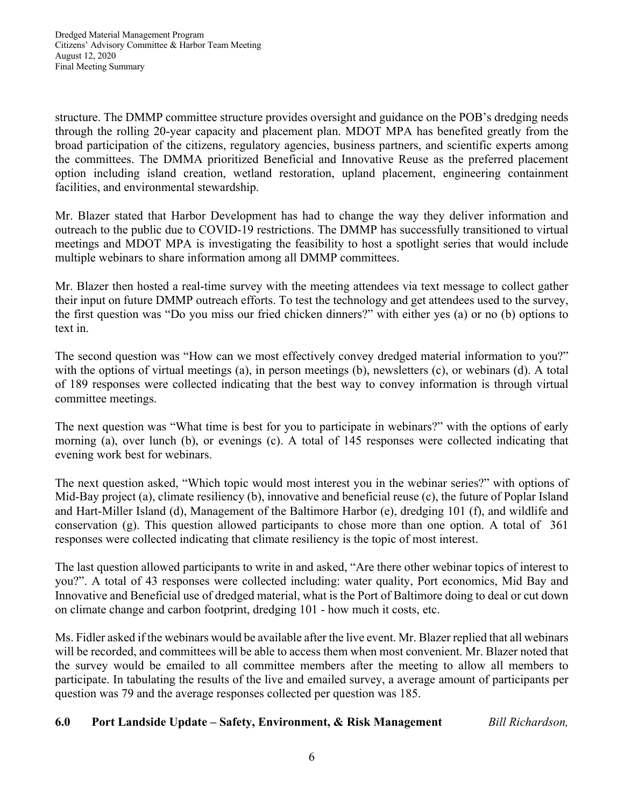structure. The DMMP committee structure provides oversight and guidance on the POB's dredging needs through the rolling 20-year capacity and placement plan. MDOT MPA has benefited greatly from the broad participation of the citizens, regulatory agencies, business partners, and scientific experts among the committees. The DMMA prioritized Beneficial and Innovative Reuse as the preferred placement option including island creation, wetland restoration, upland placement, engineering containment facilities, and environmental stewardship.

Mr. Blazer stated that Harbor Development has had to change the way they deliver information and outreach to the public due to COVID-19 restrictions. The DMMP has successfully transitioned to virtual meetings and MDOT MPA is investigating the feasibility to host a spotlight series that would include multiple webinars to share information among all DMMP committees.

Mr. Blazer then hosted a real-time survey with the meeting attendees via text message to collect gather their input on future DMMP outreach efforts. To test the technology and get attendees used to the survey, the first question was "Do you miss our fried chicken dinners?" with either yes (a) or no (b) options to text in.

The second question was "How can we most effectively convey dredged material information to you?" with the options of virtual meetings (a), in person meetings (b), newsletters (c), or webinars (d). A total of 189 responses were collected indicating that the best way to convey information is through virtual committee meetings.

The next question was "What time is best for you to participate in webinars?" with the options of early morning (a), over lunch (b), or evenings (c). A total of 145 responses were collected indicating that evening work best for webinars.

The next question asked, "Which topic would most interest you in the webinar series?" with options of Mid-Bay project (a), climate resiliency (b), innovative and beneficial reuse (c), the future of Poplar Island and Hart-Miller Island (d), Management of the Baltimore Harbor (e), dredging 101 (f), and wildlife and conservation (g). This question allowed participants to chose more than one option. A total of 361 responses were collected indicating that climate resiliency is the topic of most interest.

The last question allowed participants to write in and asked, "Are there other webinar topics of interest to you?". A total of 43 responses were collected including: water quality, Port economics, Mid Bay and Innovative and Beneficial use of dredged material, what is the Port of Baltimore doing to deal or cut down on climate change and carbon footprint, dredging 101 - how much it costs, etc.

Ms. Fidler asked if the webinars would be available after the live event. Mr. Blazer replied that all webinars will be recorded, and committees will be able to access them when most convenient. Mr. Blazer noted that the survey would be emailed to all committee members after the meeting to allow all members to participate. In tabulating the results of the live and emailed survey, a average amount of participants per question was 79 and the average responses collected per question was 185.

**6.0 Port Landside Update – Safety, Environment, & Risk Management** *Bill Richardson,*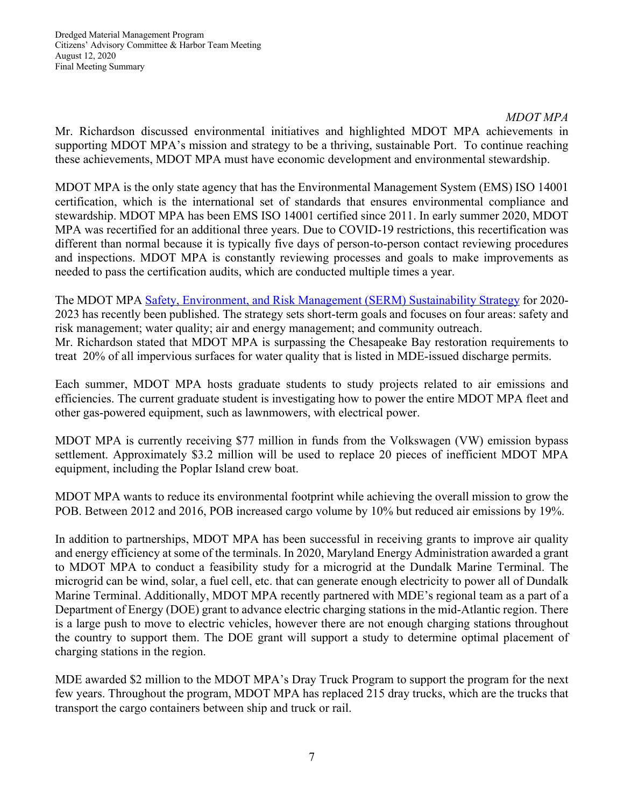# *MDOT MPA*

Mr. Richardson discussed environmental initiatives and highlighted MDOT MPA achievements in supporting MDOT MPA's mission and strategy to be a thriving, sustainable Port. To continue reaching these achievements, MDOT MPA must have economic development and environmental stewardship.

MDOT MPA is the only state agency that has the Environmental Management System (EMS) ISO 14001 certification, which is the international set of standards that ensures environmental compliance and stewardship. MDOT MPA has been EMS ISO 14001 certified since 2011. In early summer 2020, MDOT MPA was recertified for an additional three years. Due to COVID-19 restrictions, this recertification was different than normal because it is typically five days of person-to-person contact reviewing procedures and inspections. MDOT MPA is constantly reviewing processes and goals to make improvements as needed to pass the certification audits, which are conducted multiple times a year.

The MDOT MPA Safety, Environment, and Risk Management (SERM) Sustainability Strategy for 2020- 2023 has recently been published. The strategy sets short-term goals and focuses on four areas: safety and risk management; water quality; air and energy management; and community outreach. Mr. Richardson stated that MDOT MPA is surpassing the Chesapeake Bay restoration requirements to treat 20% of all impervious surfaces for water quality that is listed in MDE-issued discharge permits.

Each summer, MDOT MPA hosts graduate students to study projects related to air emissions and efficiencies. The current graduate student is investigating how to power the entire MDOT MPA fleet and other gas-powered equipment, such as lawnmowers, with electrical power.

MDOT MPA is currently receiving \$77 million in funds from the Volkswagen (VW) emission bypass settlement. Approximately \$3.2 million will be used to replace 20 pieces of inefficient MDOT MPA equipment, including the Poplar Island crew boat.

MDOT MPA wants to reduce its environmental footprint while achieving the overall mission to grow the POB. Between 2012 and 2016, POB increased cargo volume by 10% but reduced air emissions by 19%.

In addition to partnerships, MDOT MPA has been successful in receiving grants to improve air quality and energy efficiency at some of the terminals. In 2020, Maryland Energy Administration awarded a grant to MDOT MPA to conduct a feasibility study for a microgrid at the Dundalk Marine Terminal. The microgrid can be wind, solar, a fuel cell, etc. that can generate enough electricity to power all of Dundalk Marine Terminal. Additionally, MDOT MPA recently partnered with MDE's regional team as a part of a Department of Energy (DOE) grant to advance electric charging stations in the mid-Atlantic region. There is a large push to move to electric vehicles, however there are not enough charging stations throughout the country to support them. The DOE grant will support a study to determine optimal placement of charging stations in the region.

MDE awarded \$2 million to the MDOT MPA's Dray Truck Program to support the program for the next few years. Throughout the program, MDOT MPA has replaced 215 dray trucks, which are the trucks that transport the cargo containers between ship and truck or rail.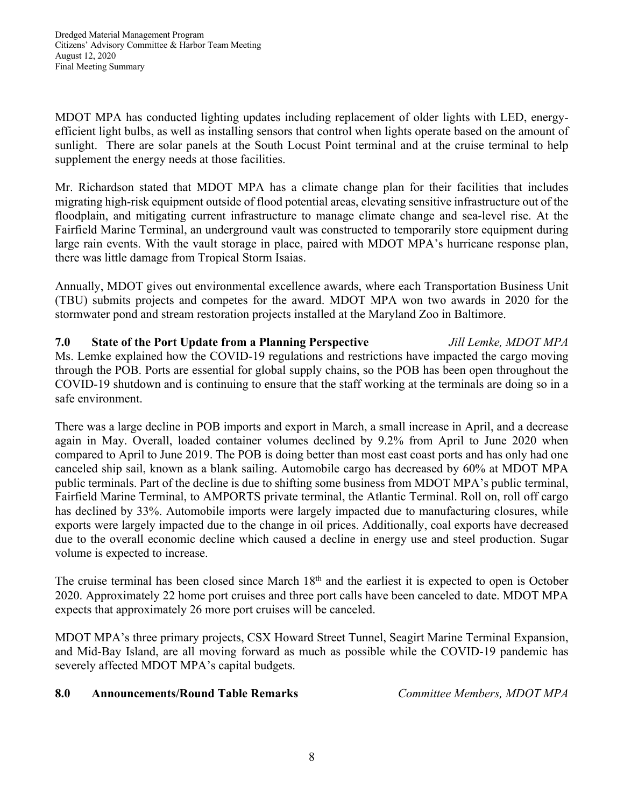MDOT MPA has conducted lighting updates including replacement of older lights with LED, energyefficient light bulbs, as well as installing sensors that control when lights operate based on the amount of sunlight. There are solar panels at the South Locust Point terminal and at the cruise terminal to help supplement the energy needs at those facilities.

Mr. Richardson stated that MDOT MPA has a climate change plan for their facilities that includes migrating high-risk equipment outside of flood potential areas, elevating sensitive infrastructure out of the floodplain, and mitigating current infrastructure to manage climate change and sea-level rise. At the Fairfield Marine Terminal, an underground vault was constructed to temporarily store equipment during large rain events. With the vault storage in place, paired with MDOT MPA's hurricane response plan, there was little damage from Tropical Storm Isaias.

Annually, MDOT gives out environmental excellence awards, where each Transportation Business Unit (TBU) submits projects and competes for the award. MDOT MPA won two awards in 2020 for the stormwater pond and stream restoration projects installed at the Maryland Zoo in Baltimore.

**7.0 State of the Port Update from a Planning Perspective** *Jill Lemke, MDOT MPA* Ms. Lemke explained how the COVID-19 regulations and restrictions have impacted the cargo moving through the POB. Ports are essential for global supply chains, so the POB has been open throughout the COVID-19 shutdown and is continuing to ensure that the staff working at the terminals are doing so in a safe environment.

There was a large decline in POB imports and export in March, a small increase in April, and a decrease again in May. Overall, loaded container volumes declined by 9.2% from April to June 2020 when compared to April to June 2019. The POB is doing better than most east coast ports and has only had one canceled ship sail, known as a blank sailing. Automobile cargo has decreased by 60% at MDOT MPA public terminals. Part of the decline is due to shifting some business from MDOT MPA's public terminal, Fairfield Marine Terminal, to AMPORTS private terminal, the Atlantic Terminal. Roll on, roll off cargo has declined by 33%. Automobile imports were largely impacted due to manufacturing closures, while exports were largely impacted due to the change in oil prices. Additionally, coal exports have decreased due to the overall economic decline which caused a decline in energy use and steel production. Sugar volume is expected to increase.

The cruise terminal has been closed since March 18<sup>th</sup> and the earliest it is expected to open is October 2020. Approximately 22 home port cruises and three port calls have been canceled to date. MDOT MPA expects that approximately 26 more port cruises will be canceled.

MDOT MPA's three primary projects, CSX Howard Street Tunnel, Seagirt Marine Terminal Expansion, and Mid-Bay Island, are all moving forward as much as possible while the COVID-19 pandemic has severely affected MDOT MPA's capital budgets.

## **8.0 Announcements/Round Table Remarks** *Committee Members, MDOT MPA*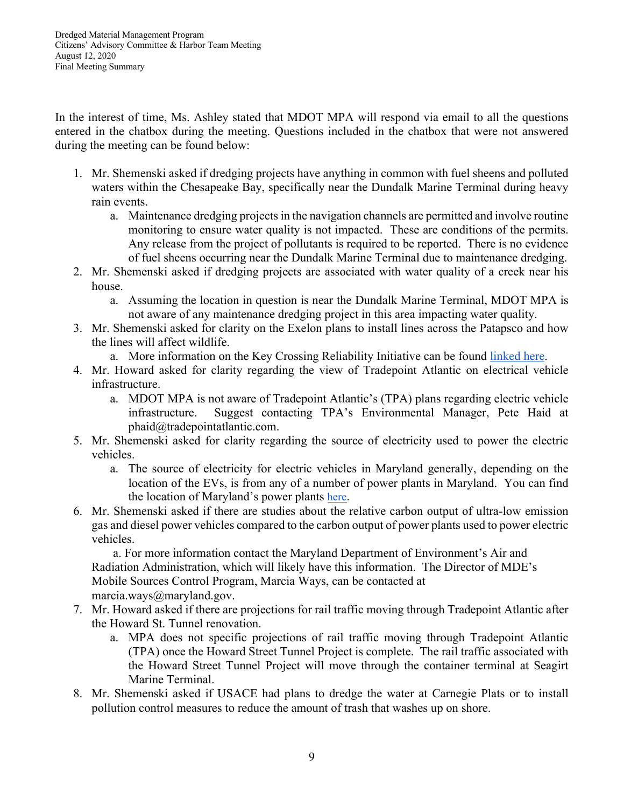In the interest of time, Ms. Ashley stated that MDOT MPA will respond via email to all the questions entered in the chatbox during the meeting. Questions included in the chatbox that were not answered during the meeting can be found below:

- 1. Mr. Shemenski asked if dredging projects have anything in common with fuel sheens and polluted waters within the Chesapeake Bay, specifically near the Dundalk Marine Terminal during heavy rain events.
	- a. Maintenance dredging projects in the navigation channels are permitted and involve routine monitoring to ensure water quality is not impacted. These are conditions of the permits. Any release from the project of pollutants is required to be reported. There is no evidence of fuel sheens occurring near the Dundalk Marine Terminal due to maintenance dredging.
- 2. Mr. Shemenski asked if dredging projects are associated with water quality of a creek near his house.
	- a. Assuming the location in question is near the Dundalk Marine Terminal, MDOT MPA is not aware of any maintenance dredging project in this area impacting water quality.
- 3. Mr. Shemenski asked for clarity on the Exelon plans to install lines across the Patapsco and how the lines will affect wildlife.
	- a. More information on the Key Crossing Reliability Initiative can be found linked here.
- 4. Mr. Howard asked for clarity regarding the view of Tradepoint Atlantic on electrical vehicle infrastructure.
	- a. MDOT MPA is not aware of Tradepoint Atlantic's (TPA) plans regarding electric vehicle infrastructure. Suggest contacting TPA's Environmental Manager, Pete Haid at phaid@tradepointatlantic.com.
- 5. Mr. Shemenski asked for clarity regarding the source of electricity used to power the electric vehicles.
	- a. The source of electricity for electric vehicles in Maryland generally, depending on the location of the EVs, is from any of a number of power plants in Maryland. You can find the location of Maryland's power plants here.
- 6. Mr. Shemenski asked if there are studies about the relative carbon output of ultra-low emission gas and diesel power vehicles compared to the carbon output of power plants used to power electric vehicles.

 a. For more information contact the Maryland Department of Environment's Air and Radiation Administration, which will likely have this information. The Director of MDE's Mobile Sources Control Program, Marcia Ways, can be contacted at marcia.ways@maryland.gov.

- 7. Mr. Howard asked if there are projections for rail traffic moving through Tradepoint Atlantic after the Howard St. Tunnel renovation.
	- a. MPA does not specific projections of rail traffic moving through Tradepoint Atlantic (TPA) once the Howard Street Tunnel Project is complete. The rail traffic associated with the Howard Street Tunnel Project will move through the container terminal at Seagirt Marine Terminal.
- 8. Mr. Shemenski asked if USACE had plans to dredge the water at Carnegie Plats or to install pollution control measures to reduce the amount of trash that washes up on shore.